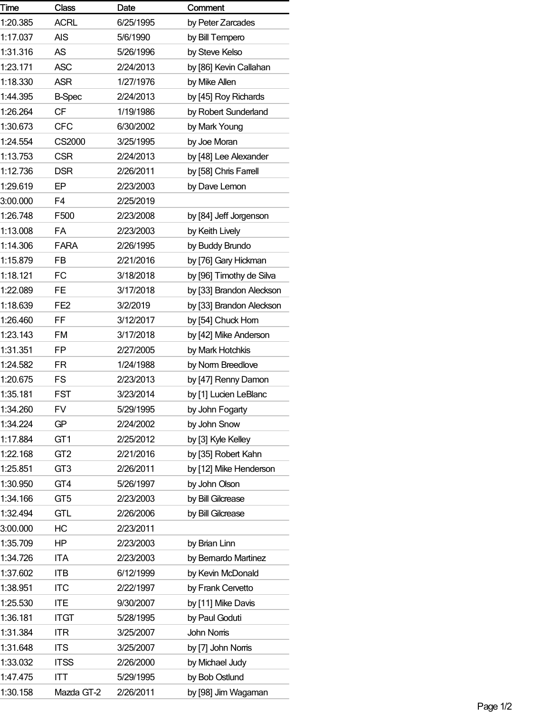| Time     | <b>Class</b>    | Date      | Comment                  |
|----------|-----------------|-----------|--------------------------|
| 1:20.385 | <b>ACRL</b>     | 6/25/1995 | by Peter Zarcades        |
| 1:17.037 | <b>AIS</b>      | 5/6/1990  | by Bill Tempero          |
| 1:31.316 | <b>AS</b>       | 5/26/1996 | by Steve Kelso           |
| 1:23.171 | <b>ASC</b>      | 2/24/2013 | by [86] Kevin Callahan   |
| 1:18.330 | ASR             | 1/27/1976 | by Mike Allen            |
| 1:44.395 | <b>B-Spec</b>   | 2/24/2013 | by [45] Roy Richards     |
| 1:26.264 | <b>CF</b>       | 1/19/1986 | by Robert Sunderland     |
| 1:30.673 | <b>CFC</b>      | 6/30/2002 | by Mark Young            |
| 1:24.554 | CS2000          | 3/25/1995 | by Joe Moran             |
| 1:13.753 | <b>CSR</b>      | 2/24/2013 | by [48] Lee Alexander    |
| 1:12.736 | <b>DSR</b>      | 2/26/2011 | by [58] Chris Farrell    |
| 1:29.619 | EP              | 2/23/2003 | by Dave Lemon            |
| 3:00.000 | F4              | 2/25/2019 |                          |
| 1:26.748 | F500            | 2/23/2008 | by [84] Jeff Jorgenson   |
| 1:13.008 | FA              | 2/23/2003 | by Keith Lively          |
| 1:14.306 | <b>FARA</b>     | 2/26/1995 | by Buddy Brundo          |
| 1:15.879 | <b>FB</b>       | 2/21/2016 | by [76] Gary Hickman     |
| 1:18.121 | FC              | 3/18/2018 | by [96] Timothy de Silva |
| 1:22.089 | <b>FE</b>       | 3/17/2018 | by [33] Brandon Aleckson |
| 1:18.639 | FE <sub>2</sub> | 3/2/2019  | by [33] Brandon Aleckson |
| 1:26.460 | FF              | 3/12/2017 | by [54] Chuck Hom        |
| 1:23.143 | <b>FM</b>       | 3/17/2018 | by [42] Mike Anderson    |
| 1:31.351 | <b>FP</b>       | 2/27/2005 | by Mark Hotchkis         |
| 1:24.582 | FR              | 1/24/1988 | by Norm Breedlove        |
| 1:20.675 | <b>FS</b>       | 2/23/2013 | by [47] Renny Damon      |
| 1:35.181 | <b>FST</b>      | 3/23/2014 | by [1] Lucien LeBlanc    |
| 1:34.260 | <b>FV</b>       | 5/29/1995 | by John Fogarty          |
| 1:34.224 | GP              | 2/24/2002 | by John Snow             |
| 1:17.884 | GT <sub>1</sub> | 2/25/2012 | by [3] Kyle Kelley       |
| 1:22.168 | GT <sub>2</sub> | 2/21/2016 | by [35] Robert Kahn      |
| 1:25.851 | GT <sub>3</sub> | 2/26/2011 | by [12] Mike Henderson   |
| 1:30.950 | GT4             | 5/26/1997 | by John Olson            |
| 1:34.166 | GT <sub>5</sub> | 2/23/2003 | by Bill Gilcrease        |
| 1:32.494 | <b>GTL</b>      | 2/26/2006 | by Bill Gilcrease        |
| 3:00.000 | НC              | 2/23/2011 |                          |
| 1:35.709 | HP.             | 2/23/2003 | by Brian Linn            |
| 1:34.726 | <b>ITA</b>      | 2/23/2003 | by Bemardo Martinez      |
| 1:37.602 | <b>ITB</b>      | 6/12/1999 | by Kevin McDonald        |
| 1:38.951 | <b>ITC</b>      | 2/22/1997 | by Frank Cervetto        |
| 1:25.530 | <b>ITE</b>      | 9/30/2007 | by [11] Mike Davis       |
| 1:36.181 | <b>ITGT</b>     | 5/28/1995 | by Paul Goduti           |
| 1:31.384 | <b>ITR</b>      | 3/25/2007 | <b>John Noms</b>         |
| 1:31.648 | <b>ITS</b>      | 3/25/2007 | by [7] John Noms         |
| 1:33.032 | <b>ITSS</b>     | 2/26/2000 | by Michael Judy          |
| 1:47.475 | ITT             | 5/29/1995 | by Bob Ostlund           |
| 1:30.158 | Mazda GT-2      | 2/26/2011 | by [98] Jim Wagaman      |